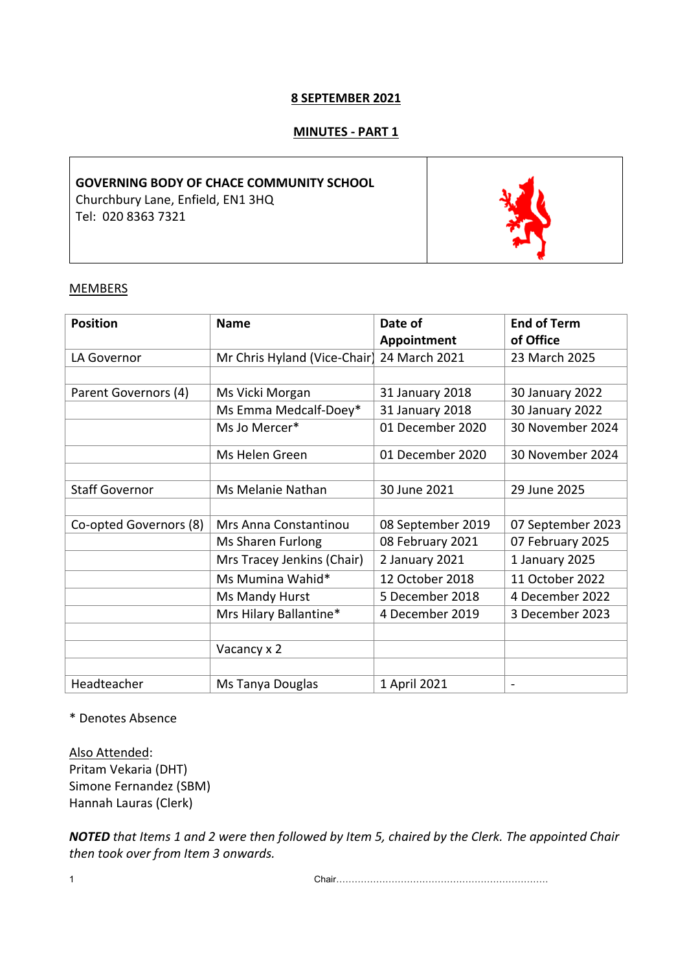## **8 SEPTEMBER 2021**

# **MINUTES - PART 1**

# **GOVERNING BODY OF CHACE COMMUNITY SCHOOL** Churchbury Lane, Enfield, EN1 3HQ Tel: 020 8363 7321

#### **MEMBERS**

| <b>Position</b>        | <b>Name</b>                  | Date of           | <b>End of Term</b> |
|------------------------|------------------------------|-------------------|--------------------|
|                        |                              | Appointment       | of Office          |
| LA Governor            | Mr Chris Hyland (Vice-Chair) | 24 March 2021     | 23 March 2025      |
|                        |                              |                   |                    |
| Parent Governors (4)   | Ms Vicki Morgan              | 31 January 2018   | 30 January 2022    |
|                        | Ms Emma Medcalf-Doey*        | 31 January 2018   | 30 January 2022    |
|                        | Ms Jo Mercer*                | 01 December 2020  | 30 November 2024   |
|                        | Ms Helen Green               | 01 December 2020  | 30 November 2024   |
|                        |                              |                   |                    |
| <b>Staff Governor</b>  | Ms Melanie Nathan            | 30 June 2021      | 29 June 2025       |
|                        |                              |                   |                    |
| Co-opted Governors (8) | Mrs Anna Constantinou        | 08 September 2019 | 07 September 2023  |
|                        | Ms Sharen Furlong            | 08 February 2021  | 07 February 2025   |
|                        | Mrs Tracey Jenkins (Chair)   | 2 January 2021    | 1 January 2025     |
|                        | Ms Mumina Wahid*             | 12 October 2018   | 11 October 2022    |
|                        | Ms Mandy Hurst               | 5 December 2018   | 4 December 2022    |
|                        | Mrs Hilary Ballantine*       | 4 December 2019   | 3 December 2023    |
|                        |                              |                   |                    |
|                        | Vacancy x 2                  |                   |                    |
|                        |                              |                   |                    |
| Headteacher            | Ms Tanya Douglas             | 1 April 2021      |                    |

\* Denotes Absence

Also Attended: Pritam Vekaria (DHT) Simone Fernandez (SBM) Hannah Lauras (Clerk)

*NOTED that Items 1 and 2 were then followed by Item 5, chaired by the Clerk. The appointed Chair then took over from Item 3 onwards.*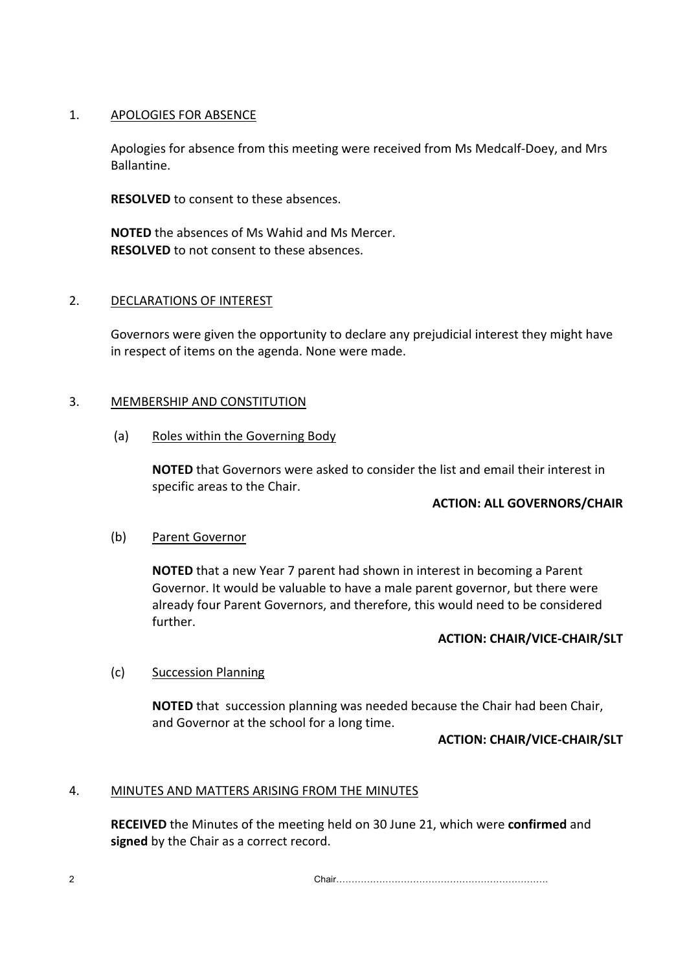## 1. APOLOGIES FOR ABSENCE

Apologies for absence from this meeting were received from Ms Medcalf-Doey, and Mrs Ballantine.

**RESOLVED** to consent to these absences.

**NOTED** the absences of Ms Wahid and Ms Mercer. **RESOLVED** to not consent to these absences.

## 2. DECLARATIONS OF INTEREST

Governors were given the opportunity to declare any prejudicial interest they might have in respect of items on the agenda. None were made.

## 3. MEMBERSHIP AND CONSTITUTION

(a) Roles within the Governing Body

**NOTED** that Governors were asked to consider the list and email their interest in specific areas to the Chair.

# **ACTION: ALL GOVERNORS/CHAIR**

#### (b) Parent Governor

**NOTED** that a new Year 7 parent had shown in interest in becoming a Parent Governor. It would be valuable to have a male parent governor, but there were already four Parent Governors, and therefore, this would need to be considered further.

## **ACTION: CHAIR/VICE-CHAIR/SLT**

# (c) Succession Planning

**NOTED** that succession planning was needed because the Chair had been Chair, and Governor at the school for a long time.

#### **ACTION: CHAIR/VICE-CHAIR/SLT**

# 4. MINUTES AND MATTERS ARISING FROM THE MINUTES

**RECEIVED** the Minutes of the meeting held on 30 June 21, which were **confirmed** and **signed** by the Chair as a correct record.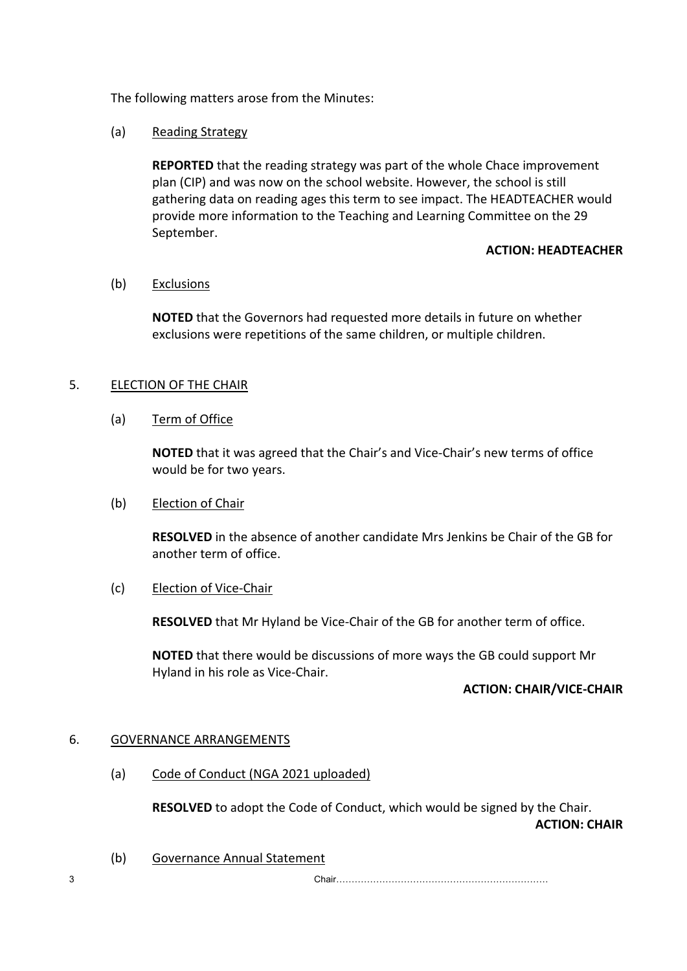The following matters arose from the Minutes:

# (a) Reading Strategy

**REPORTED** that the reading strategy was part of the whole Chace improvement plan (CIP) and was now on the school website. However, the school is still gathering data on reading ages this term to see impact. The HEADTEACHER would provide more information to the Teaching and Learning Committee on the 29 September.

#### **ACTION: HEADTEACHER**

## (b) Exclusions

**NOTED** that the Governors had requested more details in future on whether exclusions were repetitions of the same children, or multiple children.

## 5. ELECTION OF THE CHAIR

(a) Term of Office

**NOTED** that it was agreed that the Chair's and Vice-Chair's new terms of office would be for two years.

#### (b) Election of Chair

**RESOLVED** in the absence of another candidate Mrs Jenkins be Chair of the GB for another term of office.

#### (c) Election of Vice-Chair

**RESOLVED** that Mr Hyland be Vice-Chair of the GB for another term of office.

**NOTED** that there would be discussions of more ways the GB could support Mr Hyland in his role as Vice-Chair.

# **ACTION: CHAIR/VICE-CHAIR**

# 6. GOVERNANCE ARRANGEMENTS

(a) Code of Conduct (NGA 2021 uploaded)

**RESOLVED** to adopt the Code of Conduct, which would be signed by the Chair. **ACTION: CHAIR**

(b) Governance Annual Statement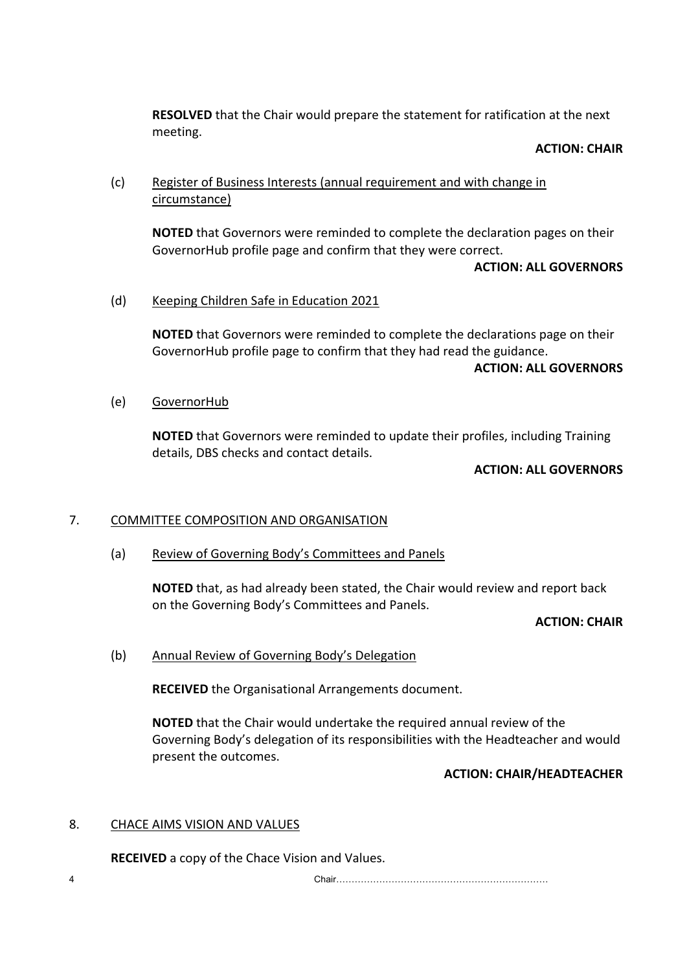**RESOLVED** that the Chair would prepare the statement for ratification at the next meeting.

#### **ACTION: CHAIR**

# (c) Register of Business Interests (annual requirement and with change in circumstance)

**NOTED** that Governors were reminded to complete the declaration pages on their GovernorHub profile page and confirm that they were correct.

## **ACTION: ALL GOVERNORS**

## (d) Keeping Children Safe in Education 2021

**NOTED** that Governors were reminded to complete the declarations page on their GovernorHub profile page to confirm that they had read the guidance.

## **ACTION: ALL GOVERNORS**

(e) GovernorHub

**NOTED** that Governors were reminded to update their profiles, including Training details, DBS checks and contact details.

## **ACTION: ALL GOVERNORS**

# 7. COMMITTEE COMPOSITION AND ORGANISATION

(a) Review of Governing Body's Committees and Panels

**NOTED** that, as had already been stated, the Chair would review and report back on the Governing Body's Committees and Panels.

#### **ACTION: CHAIR**

(b) Annual Review of Governing Body's Delegation

**RECEIVED** the Organisational Arrangements document.

**NOTED** that the Chair would undertake the required annual review of the Governing Body's delegation of its responsibilities with the Headteacher and would present the outcomes.

#### **ACTION: CHAIR/HEADTEACHER**

# 8. CHACE AIMS VISION AND VALUES

**RECEIVED** a copy of the Chace Vision and Values.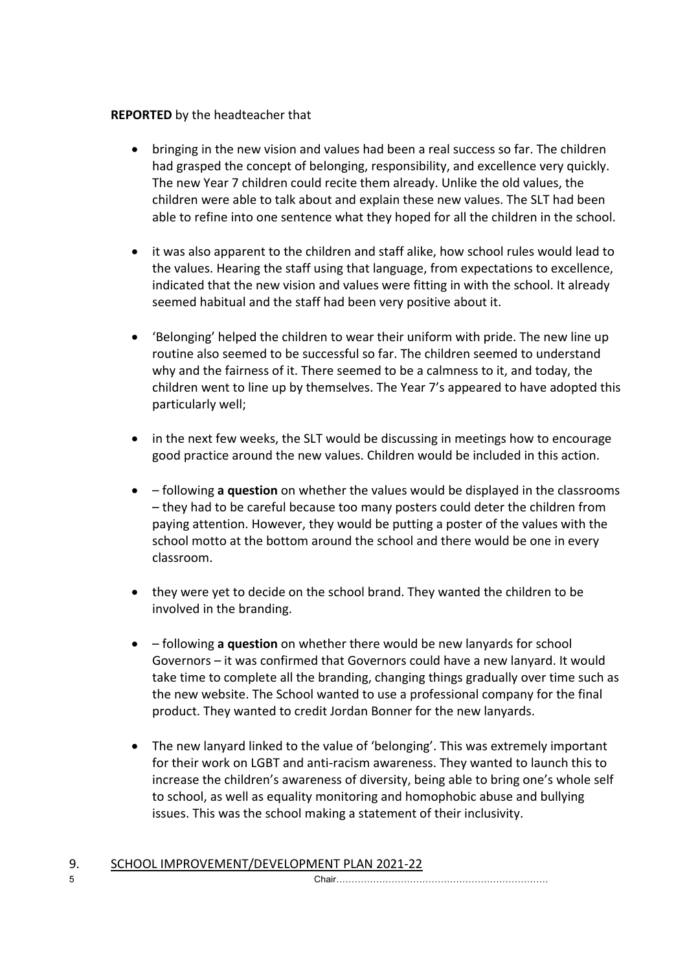# **REPORTED** by the headteacher that

- bringing in the new vision and values had been a real success so far. The children had grasped the concept of belonging, responsibility, and excellence very quickly. The new Year 7 children could recite them already. Unlike the old values, the children were able to talk about and explain these new values. The SLT had been able to refine into one sentence what they hoped for all the children in the school.
- it was also apparent to the children and staff alike, how school rules would lead to the values. Hearing the staff using that language, from expectations to excellence, indicated that the new vision and values were fitting in with the school. It already seemed habitual and the staff had been very positive about it.
- 'Belonging' helped the children to wear their uniform with pride. The new line up routine also seemed to be successful so far. The children seemed to understand why and the fairness of it. There seemed to be a calmness to it, and today, the children went to line up by themselves. The Year 7's appeared to have adopted this particularly well;
- in the next few weeks, the SLT would be discussing in meetings how to encourage good practice around the new values. Children would be included in this action.
- – following **a question** on whether the values would be displayed in the classrooms – they had to be careful because too many posters could deter the children from paying attention. However, they would be putting a poster of the values with the school motto at the bottom around the school and there would be one in every classroom.
- they were yet to decide on the school brand. They wanted the children to be involved in the branding.
- – following **a question** on whether there would be new lanyards for school Governors – it was confirmed that Governors could have a new lanyard. It would take time to complete all the branding, changing things gradually over time such as the new website. The School wanted to use a professional company for the final product. They wanted to credit Jordan Bonner for the new lanyards.
- The new lanyard linked to the value of 'belonging'. This was extremely important for their work on LGBT and anti-racism awareness. They wanted to launch this to increase the children's awareness of diversity, being able to bring one's whole self to school, as well as equality monitoring and homophobic abuse and bullying issues. This was the school making a statement of their inclusivity.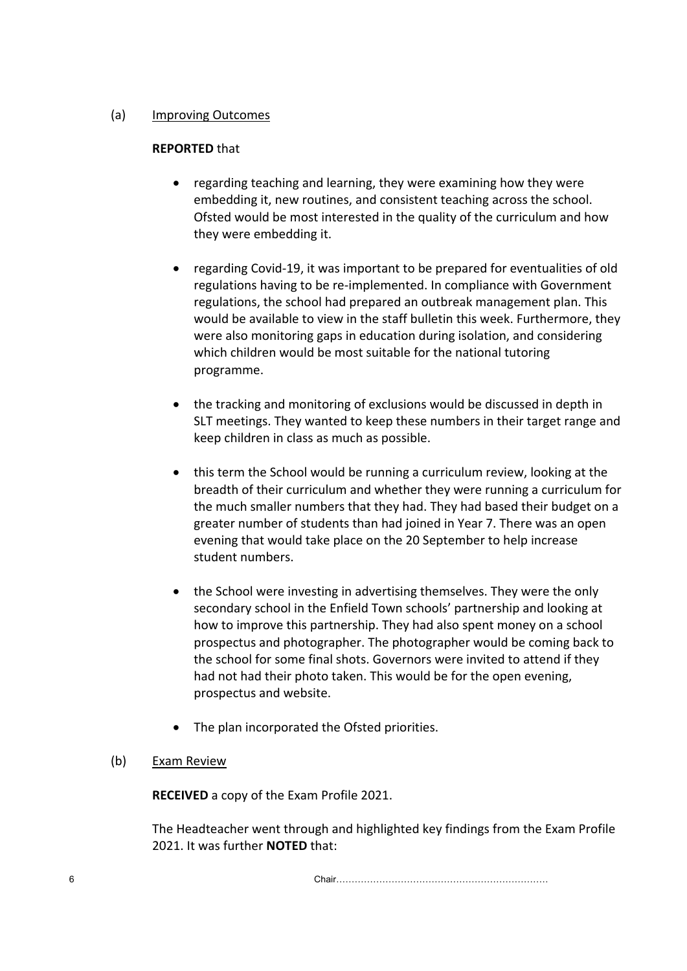## (a) Improving Outcomes

## **REPORTED** that

- regarding teaching and learning, they were examining how they were embedding it, new routines, and consistent teaching across the school. Ofsted would be most interested in the quality of the curriculum and how they were embedding it.
- regarding Covid-19, it was important to be prepared for eventualities of old regulations having to be re-implemented. In compliance with Government regulations, the school had prepared an outbreak management plan. This would be available to view in the staff bulletin this week. Furthermore, they were also monitoring gaps in education during isolation, and considering which children would be most suitable for the national tutoring programme.
- the tracking and monitoring of exclusions would be discussed in depth in SLT meetings. They wanted to keep these numbers in their target range and keep children in class as much as possible.
- this term the School would be running a curriculum review, looking at the breadth of their curriculum and whether they were running a curriculum for the much smaller numbers that they had. They had based their budget on a greater number of students than had joined in Year 7. There was an open evening that would take place on the 20 September to help increase student numbers.
- the School were investing in advertising themselves. They were the only secondary school in the Enfield Town schools' partnership and looking at how to improve this partnership. They had also spent money on a school prospectus and photographer. The photographer would be coming back to the school for some final shots. Governors were invited to attend if they had not had their photo taken. This would be for the open evening, prospectus and website.
- The plan incorporated the Ofsted priorities.

# (b) Exam Review

**RECEIVED** a copy of the Exam Profile 2021.

The Headteacher went through and highlighted key findings from the Exam Profile 2021. It was further **NOTED** that: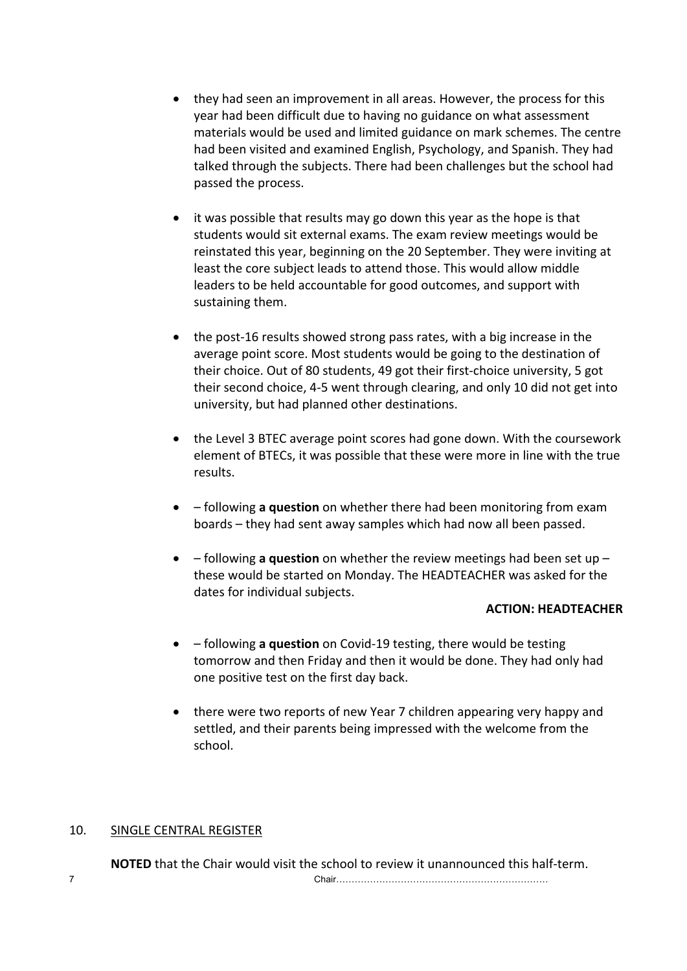- they had seen an improvement in all areas. However, the process for this year had been difficult due to having no guidance on what assessment materials would be used and limited guidance on mark schemes. The centre had been visited and examined English, Psychology, and Spanish. They had talked through the subjects. There had been challenges but the school had passed the process.
- it was possible that results may go down this year as the hope is that students would sit external exams. The exam review meetings would be reinstated this year, beginning on the 20 September. They were inviting at least the core subject leads to attend those. This would allow middle leaders to be held accountable for good outcomes, and support with sustaining them.
- the post-16 results showed strong pass rates, with a big increase in the average point score. Most students would be going to the destination of their choice. Out of 80 students, 49 got their first-choice university, 5 got their second choice, 4-5 went through clearing, and only 10 did not get into university, but had planned other destinations.
- the Level 3 BTEC average point scores had gone down. With the coursework element of BTECs, it was possible that these were more in line with the true results.
- – following **a question** on whether there had been monitoring from exam boards – they had sent away samples which had now all been passed.
- – following **a question** on whether the review meetings had been set up these would be started on Monday. The HEADTEACHER was asked for the dates for individual subjects.

#### **ACTION: HEADTEACHER**

- – following **a question** on Covid-19 testing, there would be testing tomorrow and then Friday and then it would be done. They had only had one positive test on the first day back.
- there were two reports of new Year 7 children appearing very happy and settled, and their parents being impressed with the welcome from the school.

#### 10. SINGLE CENTRAL REGISTER

**NOTED** that the Chair would visit the school to review it unannounced this half-term.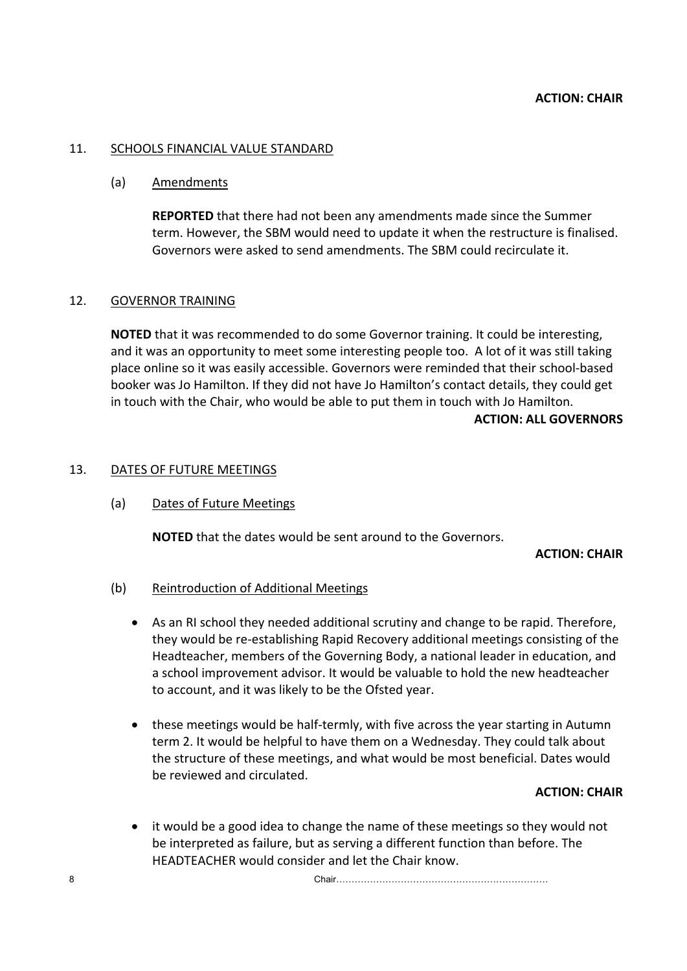#### 11. SCHOOLS FINANCIAL VALUE STANDARD

#### (a) Amendments

**REPORTED** that there had not been any amendments made since the Summer term. However, the SBM would need to update it when the restructure is finalised. Governors were asked to send amendments. The SBM could recirculate it.

#### 12. GOVERNOR TRAINING

**NOTED** that it was recommended to do some Governor training. It could be interesting, and it was an opportunity to meet some interesting people too. A lot of it was still taking place online so it was easily accessible. Governors were reminded that their school-based booker was Jo Hamilton. If they did not have Jo Hamilton's contact details, they could get in touch with the Chair, who would be able to put them in touch with Jo Hamilton. **ACTION: ALL GOVERNORS**

#### 13. DATES OF FUTURE MEETINGS

#### (a) Dates of Future Meetings

**NOTED** that the dates would be sent around to the Governors.

#### **ACTION: CHAIR**

#### (b) Reintroduction of Additional Meetings

- As an RI school they needed additional scrutiny and change to be rapid. Therefore, they would be re-establishing Rapid Recovery additional meetings consisting of the Headteacher, members of the Governing Body, a national leader in education, and a school improvement advisor. It would be valuable to hold the new headteacher to account, and it was likely to be the Ofsted year.
- these meetings would be half-termly, with five across the year starting in Autumn term 2. It would be helpful to have them on a Wednesday. They could talk about the structure of these meetings, and what would be most beneficial. Dates would be reviewed and circulated.

#### **ACTION: CHAIR**

it would be a good idea to change the name of these meetings so they would not be interpreted as failure, but as serving a different function than before. The HEADTEACHER would consider and let the Chair know.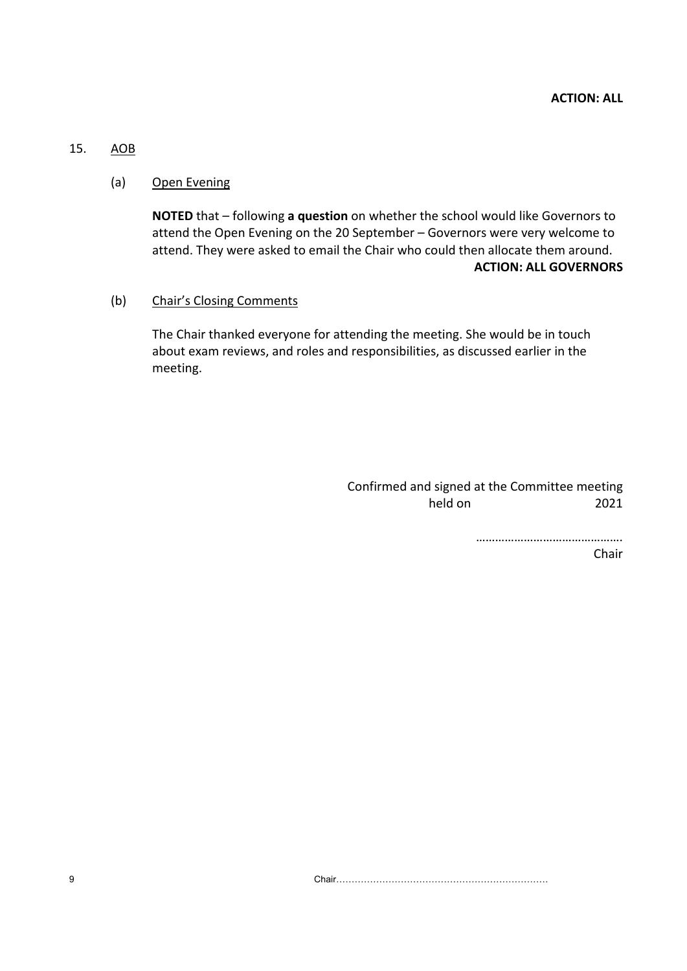## 15. AOB

#### (a) Open Evening

**NOTED** that – following **a question** on whether the school would like Governors to attend the Open Evening on the 20 September – Governors were very welcome to attend. They were asked to email the Chair who could then allocate them around. **ACTION: ALL GOVERNORS**

#### (b) Chair's Closing Comments

The Chair thanked everyone for attending the meeting. She would be in touch about exam reviews, and roles and responsibilities, as discussed earlier in the meeting.

> Confirmed and signed at the Committee meeting held on 2021

> > ……………………………………….

Chair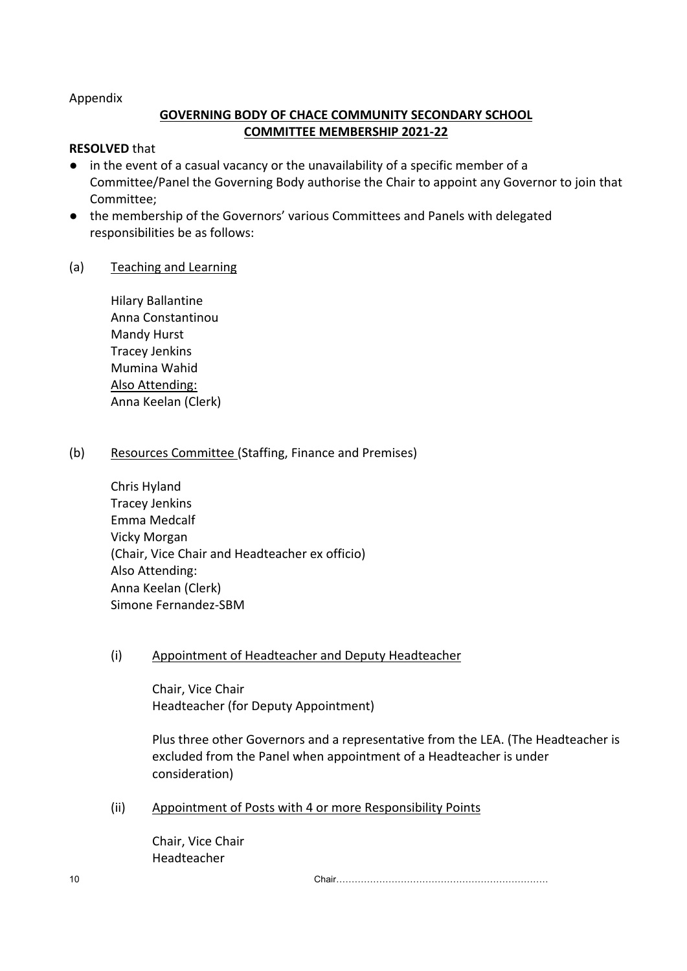Appendix

# **GOVERNING BODY OF CHACE COMMUNITY SECONDARY SCHOOL COMMITTEE MEMBERSHIP 2021-22**

#### **RESOLVED** that

- in the event of a casual vacancy or the unavailability of a specific member of a Committee/Panel the Governing Body authorise the Chair to appoint any Governor to join that Committee;
- the membership of the Governors' various Committees and Panels with delegated responsibilities be as follows:

#### (a) Teaching and Learning

Hilary Ballantine Anna Constantinou Mandy Hurst Tracey Jenkins Mumina Wahid Also Attending: Anna Keelan (Clerk)

#### (b) Resources Committee (Staffing, Finance and Premises)

Chris Hyland Tracey Jenkins Emma Medcalf Vicky Morgan (Chair, Vice Chair and Headteacher ex officio) Also Attending: Anna Keelan (Clerk) Simone Fernandez-SBM

#### (i) Appointment of Headteacher and Deputy Headteacher

Chair, Vice Chair Headteacher (for Deputy Appointment)

Plus three other Governors and a representative from the LEA. (The Headteacher is excluded from the Panel when appointment of a Headteacher is under consideration)

(ii) Appointment of Posts with 4 or more Responsibility Points

Chair, Vice Chair Headteacher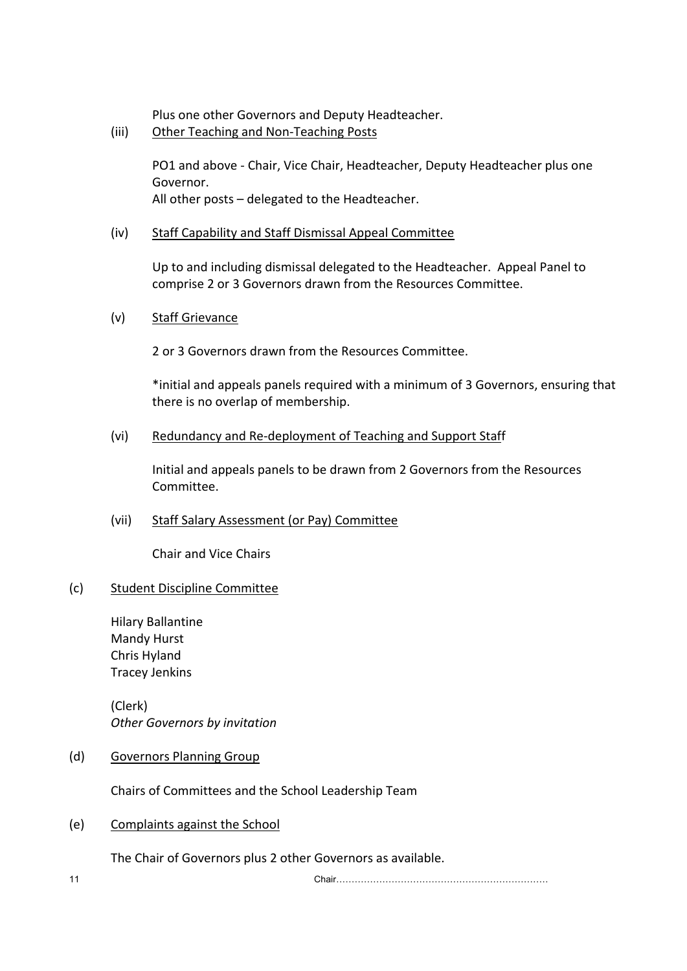Plus one other Governors and Deputy Headteacher.

(iii) Other Teaching and Non-Teaching Posts

PO1 and above - Chair, Vice Chair, Headteacher, Deputy Headteacher plus one Governor. All other posts – delegated to the Headteacher.

## (iv) Staff Capability and Staff Dismissal Appeal Committee

Up to and including dismissal delegated to the Headteacher. Appeal Panel to comprise 2 or 3 Governors drawn from the Resources Committee.

#### (v) Staff Grievance

2 or 3 Governors drawn from the Resources Committee.

\*initial and appeals panels required with a minimum of 3 Governors, ensuring that there is no overlap of membership.

(vi) Redundancy and Re-deployment of Teaching and Support Staff

Initial and appeals panels to be drawn from 2 Governors from the Resources Committee.

(vii) Staff Salary Assessment (or Pay) Committee

Chair and Vice Chairs

#### (c) Student Discipline Committee

Hilary Ballantine Mandy Hurst Chris Hyland Tracey Jenkins

(Clerk) *Other Governors by invitation*

(d) Governors Planning Group

Chairs of Committees and the School Leadership Team

(e) Complaints against the School

The Chair of Governors plus 2 other Governors as available.